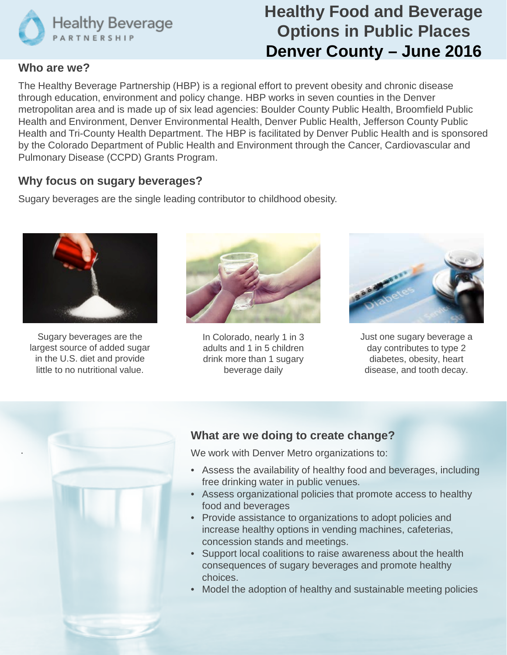

# **Healthy Food and Beverage Options in Public Places Denver County – June 2016**

#### **Who are we?**

The Healthy Beverage Partnership (HBP) is a regional effort to prevent obesity and chronic disease through education, environment and policy change. HBP works in seven counties in the Denver metropolitan area and is made up of six lead agencies: Boulder County Public Health, Broomfield Public Health and Environment, Denver Environmental Health, Denver Public Health, Jefferson County Public Health and Tri-County Health Department. The HBP is facilitated by Denver Public Health and is sponsored by the Colorado Department of Public Health and Environment through the Cancer, Cardiovascular and Pulmonary Disease (CCPD) Grants Program.

### **Why focus on sugary beverages?**

Sugary beverages are the single leading contributor to childhood obesity.



Sugary beverages are the largest source of added sugar in the U.S. diet and provide little to no nutritional value.



In Colorado, nearly 1 in 3 adults and 1 in 5 children drink more than 1 sugary beverage daily



Just one sugary beverage a day contributes to type 2 diabetes, obesity, heart disease, and tooth decay.



# **What are we doing to create change?**

We work with Denver Metro organizations to:

- Assess the availability of healthy food and beverages, including free drinking water in public venues.
- Assess organizational policies that promote access to healthy food and beverages
- Provide assistance to organizations to adopt policies and increase healthy options in vending machines, cafeterias, concession stands and meetings.
- Support local coalitions to raise awareness about the health consequences of sugary beverages and promote healthy choices.
- Model the adoption of healthy and sustainable meeting policies